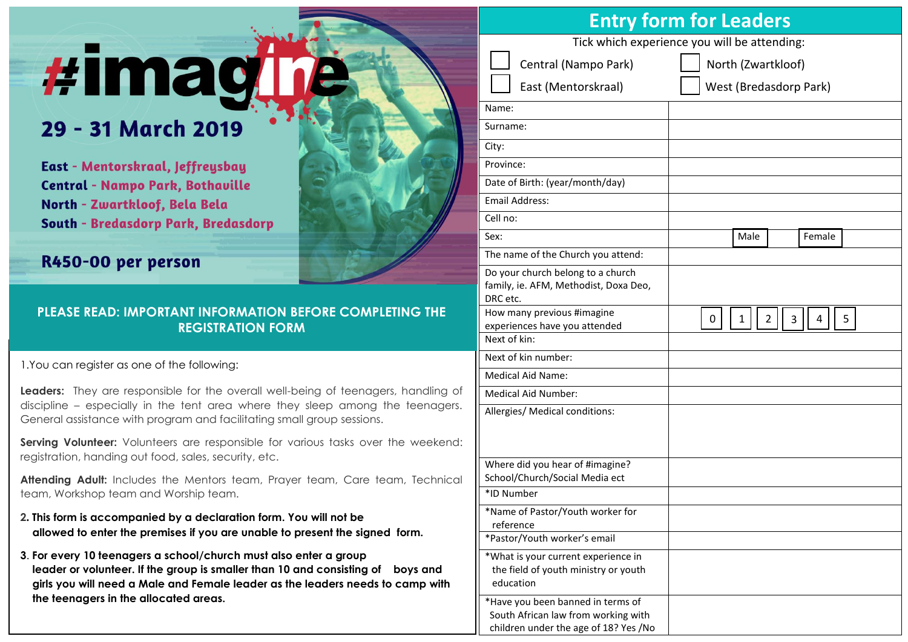# *#imagl*

## 29 - 31 March 2019

East - Mentorskraal, Jeffreysbay **Central - Nampo Park, Bothaville** North - Zwartkloof, Bela Bela **South - Bredasdorp Park, Bredasdorp** 

### R450-00 per person

#### **PLEASE READ: IMPORTANT INFORMATION BEFORE COMPLETING THE REGISTRATION FORM**

1.You can register as one of the following:

**Leaders:** They are responsible for the overall well-being of teenagers, handling of discipline – especially in the tent area where they sleep among the teenagers. General assistance with program and facilitating small group sessions.

**Serving Volunteer:** Volunteers are responsible for various tasks over the weekend: registration, handing out food, sales, security, etc.

**Attending Adult:** Includes the Mentors team, Prayer team, Care team, Technical team, Workshop team and Worship team.

- **2. This form is accompanied by a declaration form. You will not be allowed to enter the premises if you are unable to present the signed form.**
- **3**. **For every 10 teenagers a school/church must also enter a group leader or volunteer. If the group is smaller than 10 and consisting of boys and girls you will need a Male and Female leader as the leaders needs to camp with the teenagers in the allocated areas.**

| <b>Entry form for Leaders</b>                                                                                     |                                       |  |
|-------------------------------------------------------------------------------------------------------------------|---------------------------------------|--|
| Tick which experience you will be attending:                                                                      |                                       |  |
| Central (Nampo Park)                                                                                              | North (Zwartkloof)                    |  |
| East (Mentorskraal)                                                                                               | West (Bredasdorp Park)                |  |
| Name:                                                                                                             |                                       |  |
| Surname:                                                                                                          |                                       |  |
| City:                                                                                                             |                                       |  |
| Province:                                                                                                         |                                       |  |
| Date of Birth: (year/month/day)                                                                                   |                                       |  |
| <b>Email Address:</b>                                                                                             |                                       |  |
| Cell no:                                                                                                          |                                       |  |
| Sex:                                                                                                              | Female<br>Male                        |  |
| The name of the Church you attend:                                                                                |                                       |  |
| Do your church belong to a church<br>family, ie. AFM, Methodist, Doxa Deo,<br>DRC etc.                            |                                       |  |
| How many previous #imagine<br>experiences have you attended                                                       | $\mathbf{1}$<br>2<br>3<br>4<br>5<br>0 |  |
| Next of kin:                                                                                                      |                                       |  |
| Next of kin number:                                                                                               |                                       |  |
| <b>Medical Aid Name:</b>                                                                                          |                                       |  |
| Medical Aid Number:                                                                                               |                                       |  |
| Allergies/ Medical conditions:                                                                                    |                                       |  |
| Where did you hear of #imagine?<br>School/Church/Social Media ect                                                 |                                       |  |
| *ID Number                                                                                                        |                                       |  |
| *Name of Pastor/Youth worker for<br>reference                                                                     |                                       |  |
| *Pastor/Youth worker's email                                                                                      |                                       |  |
| *What is your current experience in<br>the field of youth ministry or youth<br>education                          |                                       |  |
| *Have you been banned in terms of<br>South African law from working with<br>children under the age of 18? Yes /No |                                       |  |